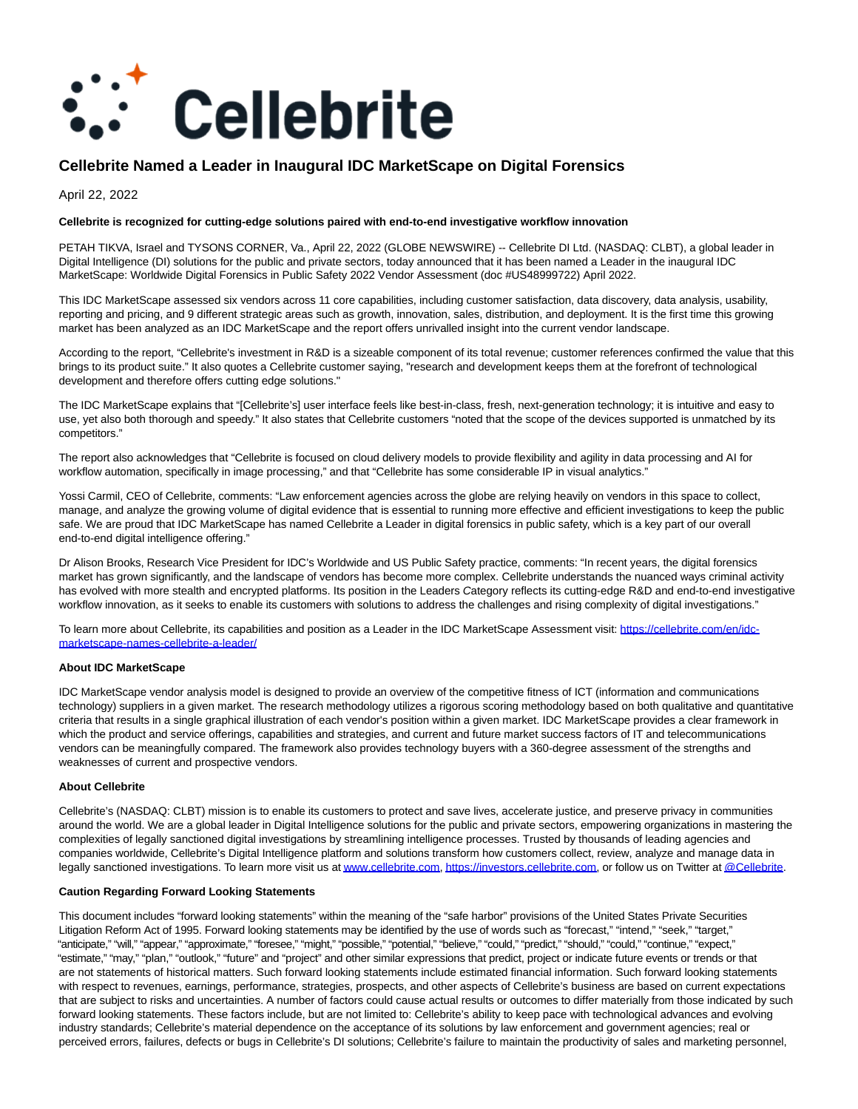

# **Cellebrite Named a Leader in Inaugural IDC MarketScape on Digital Forensics**

April 22, 2022

## **Cellebrite is recognized for cutting-edge solutions paired with end-to-end investigative workflow innovation**

PETAH TIKVA, Israel and TYSONS CORNER, Va., April 22, 2022 (GLOBE NEWSWIRE) -- Cellebrite DI Ltd. (NASDAQ: CLBT), a global leader in Digital Intelligence (DI) solutions for the public and private sectors, today announced that it has been named a Leader in the inaugural IDC MarketScape: Worldwide Digital Forensics in Public Safety 2022 Vendor Assessment (doc #US48999722) April 2022.

This IDC MarketScape assessed six vendors across 11 core capabilities, including customer satisfaction, data discovery, data analysis, usability, reporting and pricing, and 9 different strategic areas such as growth, innovation, sales, distribution, and deployment. It is the first time this growing market has been analyzed as an IDC MarketScape and the report offers unrivalled insight into the current vendor landscape.

According to the report, "Cellebrite's investment in R&D is a sizeable component of its total revenue; customer references confirmed the value that this brings to its product suite." It also quotes a Cellebrite customer saying, "research and development keeps them at the forefront of technological development and therefore offers cutting edge solutions."

The IDC MarketScape explains that "[Cellebrite's] user interface feels like best-in-class, fresh, next-generation technology; it is intuitive and easy to use, yet also both thorough and speedy." It also states that Cellebrite customers "noted that the scope of the devices supported is unmatched by its competitors."

The report also acknowledges that "Cellebrite is focused on cloud delivery models to provide flexibility and agility in data processing and AI for workflow automation, specifically in image processing," and that "Cellebrite has some considerable IP in visual analytics."

Yossi Carmil, CEO of Cellebrite, comments: "Law enforcement agencies across the globe are relying heavily on vendors in this space to collect, manage, and analyze the growing volume of digital evidence that is essential to running more effective and efficient investigations to keep the public safe. We are proud that IDC MarketScape has named Cellebrite a Leader in digital forensics in public safety, which is a key part of our overall end-to-end digital intelligence offering."

Dr Alison Brooks, Research Vice President for IDC's Worldwide and US Public Safety practice, comments: "In recent years, the digital forensics market has grown significantly, and the landscape of vendors has become more complex. Cellebrite understands the nuanced ways criminal activity has evolved with more stealth and encrypted platforms. Its position in the Leaders Category reflects its cutting-edge R&D and end-to-end investigative workflow innovation, as it seeks to enable its customers with solutions to address the challenges and rising complexity of digital investigations."

To learn more about Cellebrite, its capabilities and position as a Leader in the IDC MarketScape Assessment visit: [https://cellebrite.com/en/idc](https://www.globenewswire.com/Tracker?data=9hj8bLfhEVeIuvcL1_yM9k39V2dawcq1y1aK2zctE_ae-AQPvNKPcMyQgOhRsvdVZnDhH3AVu16H26sMQOcb-T8DMhulxRZPx3OgcP_vRCW5VjwVpN1HpccWBbayKh1JT02UfV4hgoVuNbx4s5-8JfCzgclolWHAhzY4NgF0dpxbleWuehqF_zbcbG2bqaqFrFcRIi8if-9lBh7zlh-s9Q==)marketscape-names-cellebrite-a-leader/

## **About IDC MarketScape**

IDC MarketScape vendor analysis model is designed to provide an overview of the competitive fitness of ICT (information and communications technology) suppliers in a given market. The research methodology utilizes a rigorous scoring methodology based on both qualitative and quantitative criteria that results in a single graphical illustration of each vendor's position within a given market. IDC MarketScape provides a clear framework in which the product and service offerings, capabilities and strategies, and current and future market success factors of IT and telecommunications vendors can be meaningfully compared. The framework also provides technology buyers with a 360-degree assessment of the strengths and weaknesses of current and prospective vendors.

## **About Cellebrite**

Cellebrite's (NASDAQ: CLBT) mission is to enable its customers to protect and save lives, accelerate justice, and preserve privacy in communities around the world. We are a global leader in Digital Intelligence solutions for the public and private sectors, empowering organizations in mastering the complexities of legally sanctioned digital investigations by streamlining intelligence processes. Trusted by thousands of leading agencies and companies worldwide, Cellebrite's Digital Intelligence platform and solutions transform how customers collect, review, analyze and manage data in legally sanctioned investigations. To learn more visit us a[t www.cellebrite.com,](https://www.globenewswire.com/Tracker?data=Ts6oKGjDQSgm0GrjBbPicyuKLzj94c0ilAJMcjx4Phs_QwCEI65FfSRg17M1pZ_81gktL05AK9v3L0B2hQ6E7nD995b-_vTQm9QP8fZVsFw=) [https://investors.cellebrite.com,](https://www.globenewswire.com/Tracker?data=9hj8bLfhEVeIuvcL1_yM9muGkXQ3nVSpwNBbnkANX4TRyFVX_mkgVXglbM3VsbVMt6BxOoOcm3KThN7gjQbZ-TmXPUJ1KXbHiz7tes_8WDyPGTjpZR7UnTBkzyQdfiaX) or follow us on Twitter a[t @Cellebrite.](https://www.globenewswire.com/Tracker?data=Y2I8oXgSSIWU_ppKl8OHAyqs4WFitxXnUUS0J6Uxym1_m7gLsrO171Pv-YlBGY4csLB426vJMfK4jwioR-Nq1g==)

## **Caution Regarding Forward Looking Statements**

This document includes "forward looking statements" within the meaning of the "safe harbor" provisions of the United States Private Securities Litigation Reform Act of 1995. Forward looking statements may be identified by the use of words such as "forecast," "intend," "seek," "target," "anticipate," "will," "appear," "approximate," "foresee," "might," "possible," "potential," "believe," "could," "predict," "should," "could," "continue," "expect," "estimate," "may," "plan," "outlook," "future" and "project" and other similar expressions that predict, project or indicate future events or trends or that are not statements of historical matters. Such forward looking statements include estimated financial information. Such forward looking statements with respect to revenues, earnings, performance, strategies, prospects, and other aspects of Cellebrite's business are based on current expectations that are subject to risks and uncertainties. A number of factors could cause actual results or outcomes to differ materially from those indicated by such forward looking statements. These factors include, but are not limited to: Cellebrite's ability to keep pace with technological advances and evolving industry standards; Cellebrite's material dependence on the acceptance of its solutions by law enforcement and government agencies; real or perceived errors, failures, defects or bugs in Cellebrite's DI solutions; Cellebrite's failure to maintain the productivity of sales and marketing personnel,